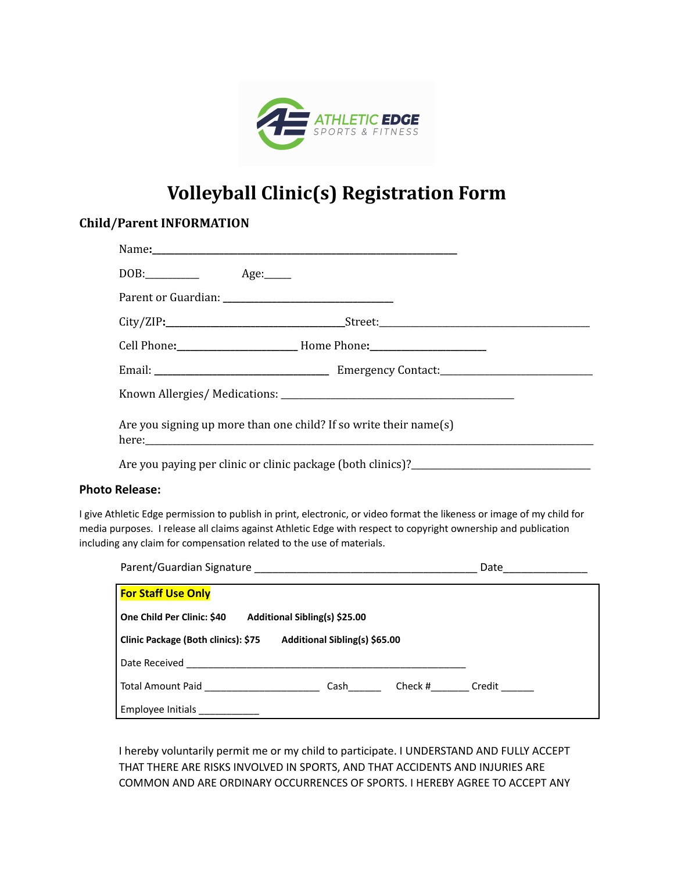

## **Volleyball Clinic(s) Registration Form**

## **Child/Parent INFORMATION**

|                                                                                                                        | $DOB:$ $Age:$                                                     |  |  |
|------------------------------------------------------------------------------------------------------------------------|-------------------------------------------------------------------|--|--|
|                                                                                                                        |                                                                   |  |  |
|                                                                                                                        |                                                                   |  |  |
|                                                                                                                        |                                                                   |  |  |
|                                                                                                                        |                                                                   |  |  |
|                                                                                                                        |                                                                   |  |  |
|                                                                                                                        | Are you signing up more than one child? If so write their name(s) |  |  |
|                                                                                                                        |                                                                   |  |  |
| <b>Photo Release:</b>                                                                                                  |                                                                   |  |  |
| I give Athletic Edge permission to publish in print, electronic, or video format the likeness or image of my child for |                                                                   |  |  |

I give Athletic Edge permission to publish in print, electronic, or video format the likeness or image of my child for media purposes. I release all claims against Athletic Edge with respect to copyright ownership and publication including any claim for compensation related to the use of materials.

| Parent/Guardian Signature                                            | Date           |  |  |  |
|----------------------------------------------------------------------|----------------|--|--|--|
| <b>For Staff Use Only</b>                                            |                |  |  |  |
| Additional Sibling(s) \$25.00<br>One Child Per Clinic: \$40          |                |  |  |  |
| Clinic Package (Both clinics): \$75<br>Additional Sibling(s) \$65.00 |                |  |  |  |
| Date Received                                                        |                |  |  |  |
| Total Amount Paid<br>Cash                                            | Check # Credit |  |  |  |
| Employee Initials                                                    |                |  |  |  |

I hereby voluntarily permit me or my child to participate. I UNDERSTAND AND FULLY ACCEPT THAT THERE ARE RISKS INVOLVED IN SPORTS, AND THAT ACCIDENTS AND INJURIES ARE COMMON AND ARE ORDINARY OCCURRENCES OF SPORTS. I HEREBY AGREE TO ACCEPT ANY